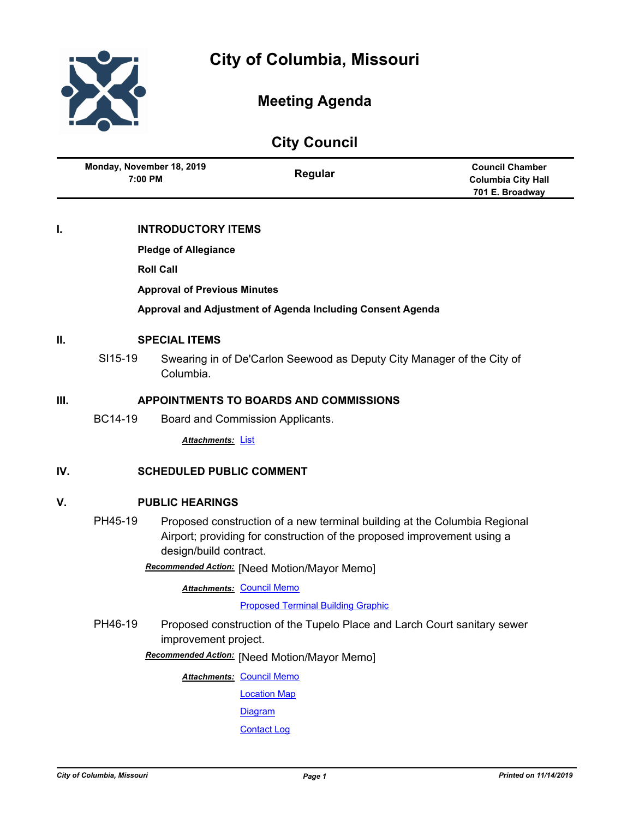



# **Meeting Agenda**

| <b>City Council</b> |                                                            |                                                                                                  |                                                                                                                                                      |                                                                        |  |
|---------------------|------------------------------------------------------------|--------------------------------------------------------------------------------------------------|------------------------------------------------------------------------------------------------------------------------------------------------------|------------------------------------------------------------------------|--|
|                     | Monday, November 18, 2019<br>7:00 PM                       |                                                                                                  | Regular                                                                                                                                              | <b>Council Chamber</b><br><b>Columbia City Hall</b><br>701 E. Broadway |  |
| I.                  |                                                            | <b>INTRODUCTORY ITEMS</b>                                                                        |                                                                                                                                                      |                                                                        |  |
|                     |                                                            | <b>Pledge of Allegiance</b>                                                                      |                                                                                                                                                      |                                                                        |  |
|                     |                                                            | <b>Roll Call</b>                                                                                 |                                                                                                                                                      |                                                                        |  |
|                     | <b>Approval of Previous Minutes</b>                        |                                                                                                  |                                                                                                                                                      |                                                                        |  |
|                     | Approval and Adjustment of Agenda Including Consent Agenda |                                                                                                  |                                                                                                                                                      |                                                                        |  |
| II.                 | <b>SPECIAL ITEMS</b>                                       |                                                                                                  |                                                                                                                                                      |                                                                        |  |
|                     | SI15-19                                                    | Columbia.                                                                                        | Swearing in of De'Carlon Seewood as Deputy City Manager of the City of                                                                               |                                                                        |  |
| Ш.                  | <b>APPOINTMENTS TO BOARDS AND COMMISSIONS</b>              |                                                                                                  |                                                                                                                                                      |                                                                        |  |
|                     | BC14-19                                                    |                                                                                                  | Board and Commission Applicants.                                                                                                                     |                                                                        |  |
|                     |                                                            | <b>Attachments: List</b>                                                                         |                                                                                                                                                      |                                                                        |  |
| IV.                 | <b>SCHEDULED PUBLIC COMMENT</b>                            |                                                                                                  |                                                                                                                                                      |                                                                        |  |
| V.                  | <b>PUBLIC HEARINGS</b>                                     |                                                                                                  |                                                                                                                                                      |                                                                        |  |
|                     | PH45-19                                                    | design/build contract.                                                                           | Proposed construction of a new terminal building at the Columbia Regional<br>Airport; providing for construction of the proposed improvement using a |                                                                        |  |
|                     |                                                            |                                                                                                  | Recommended Action: [Need Motion/Mayor Memo]                                                                                                         |                                                                        |  |
|                     |                                                            |                                                                                                  | <b>Attachments: Council Memo</b>                                                                                                                     |                                                                        |  |
|                     |                                                            |                                                                                                  | <b>Proposed Terminal Building Graphic</b>                                                                                                            |                                                                        |  |
|                     | PH46-19                                                    | Proposed construction of the Tupelo Place and Larch Court sanitary sewer<br>improvement project. |                                                                                                                                                      |                                                                        |  |
|                     |                                                            |                                                                                                  | Recommended Action: [Need Motion/Mayor Memo]                                                                                                         |                                                                        |  |
|                     |                                                            |                                                                                                  | <b>Attachments: Council Memo</b>                                                                                                                     |                                                                        |  |
|                     |                                                            |                                                                                                  | <b>Location Map</b>                                                                                                                                  |                                                                        |  |
|                     |                                                            |                                                                                                  | <b>Diagram</b>                                                                                                                                       |                                                                        |  |
|                     |                                                            |                                                                                                  | <b>Contact Log</b>                                                                                                                                   |                                                                        |  |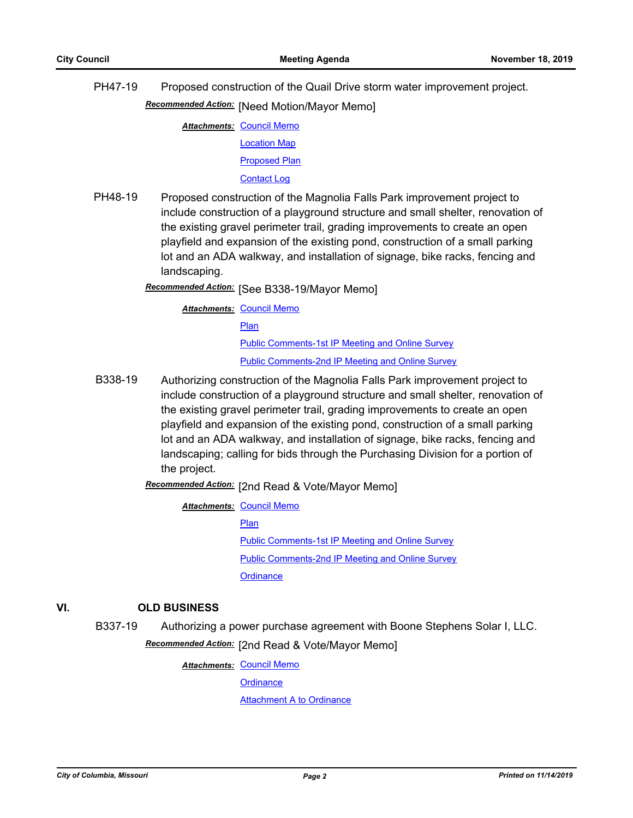PH47-19 Proposed construction of the Quail Drive storm water improvement project. **Recommended Action:** [Need Motion/Mayor Memo]

**Attachments: [Council Memo](http://gocolumbiamo.legistar.com/gateway.aspx?M=F&ID=b264e99a-eeb8-4af0-ab97-1024c7a3f9f4.docx)** 

[Location Map](http://gocolumbiamo.legistar.com/gateway.aspx?M=F&ID=fc66b386-3f14-463b-b3b0-8e5ee9fef8ed.pdf)

#### [Proposed Plan](http://gocolumbiamo.legistar.com/gateway.aspx?M=F&ID=af824f58-78ca-4025-9363-39d62292b347.pdf)

[Contact Log](http://gocolumbiamo.legistar.com/gateway.aspx?M=F&ID=bf76433d-5ca9-4bb1-a7c3-40c0feafeb2a.pdf)

PH48-19 Proposed construction of the Magnolia Falls Park improvement project to include construction of a playground structure and small shelter, renovation of the existing gravel perimeter trail, grading improvements to create an open playfield and expansion of the existing pond, construction of a small parking lot and an ADA walkway, and installation of signage, bike racks, fencing and landscaping.

[See B338-19/Mayor Memo] *Recommended Action:*

**Attachments: [Council Memo](http://gocolumbiamo.legistar.com/gateway.aspx?M=F&ID=3bacb084-8ce1-465c-9f71-02b052d82f71.docx)** 

[Plan](http://gocolumbiamo.legistar.com/gateway.aspx?M=F&ID=3e973ded-07ee-40b0-a3e3-557d4bd91d5e.pdf)

[Public Comments-1st IP Meeting and Online Survey](http://gocolumbiamo.legistar.com/gateway.aspx?M=F&ID=5f96bd83-bcf4-4eed-81db-1ee376548b92.pdf) [Public Comments-2nd IP Meeting and Online Survey](http://gocolumbiamo.legistar.com/gateway.aspx?M=F&ID=80050a94-6dda-48bd-b4e1-17d4c78de673.pdf)

B338-19 Authorizing construction of the Magnolia Falls Park improvement project to include construction of a playground structure and small shelter, renovation of the existing gravel perimeter trail, grading improvements to create an open playfield and expansion of the existing pond, construction of a small parking lot and an ADA walkway, and installation of signage, bike racks, fencing and landscaping; calling for bids through the Purchasing Division for a portion of the project.

Recommended Action: [2nd Read & Vote/Mayor Memo]

**Attachments: [Council Memo](http://gocolumbiamo.legistar.com/gateway.aspx?M=F&ID=0d77c481-7471-4a05-9a9d-342459ea4bb5.docx)** [Plan](http://gocolumbiamo.legistar.com/gateway.aspx?M=F&ID=767ed91c-eddb-45dc-879d-ac4804a0217c.pdf) [Public Comments-1st IP Meeting and Online Survey](http://gocolumbiamo.legistar.com/gateway.aspx?M=F&ID=e0ed9fa2-aa43-4422-ae59-e0febe83c292.pdf) [Public Comments-2nd IP Meeting and Online Survey](http://gocolumbiamo.legistar.com/gateway.aspx?M=F&ID=0640476e-6717-43c0-a8bc-ab3e83d72669.pdf) **[Ordinance](http://gocolumbiamo.legistar.com/gateway.aspx?M=F&ID=8fccca9d-e945-42cb-b505-03cbbc8a2a06.doc)** 

# **VI. OLD BUSINESS**

B337-19 Authorizing a power purchase agreement with Boone Stephens Solar I, LLC.

Recommended Action: [2nd Read & Vote/Mayor Memo]

**Attachments: [Council Memo](http://gocolumbiamo.legistar.com/gateway.aspx?M=F&ID=82d05685-51d5-49ca-8a06-d8698d35e9f7.docx)** 

**[Ordinance](http://gocolumbiamo.legistar.com/gateway.aspx?M=F&ID=25def1b0-9f0b-46d4-89fd-eaeb3c7a03b3.doc)**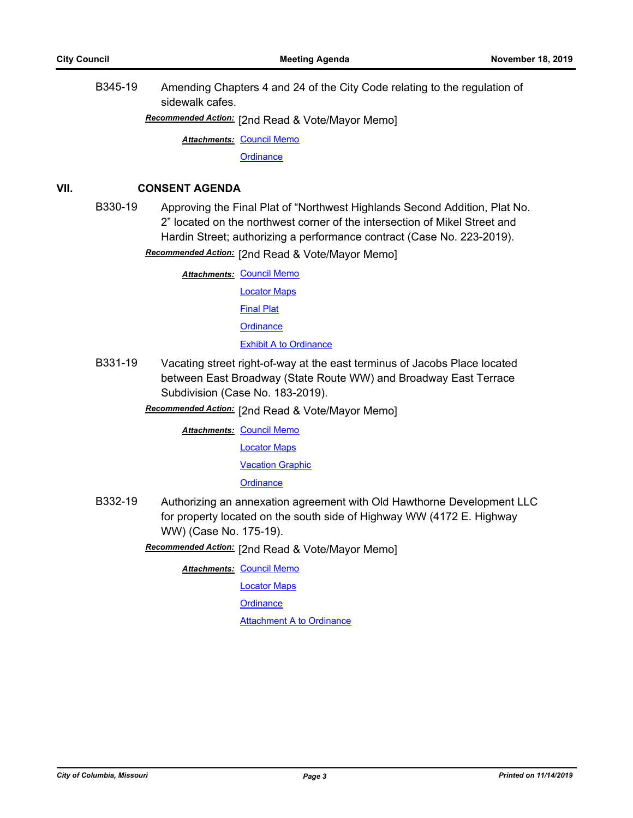B345-19 Amending Chapters 4 and 24 of the City Code relating to the regulation of sidewalk cafes.

[2nd Read & Vote/Mayor Memo] *Recommended Action:*

**Attachments: [Council Memo](http://gocolumbiamo.legistar.com/gateway.aspx?M=F&ID=344f9915-ea0c-4d36-8045-8b86221f903c.docx)** 

**[Ordinance](http://gocolumbiamo.legistar.com/gateway.aspx?M=F&ID=7ae3b50c-8e9f-45cf-aabf-ed32c9c3090c.doc)** 

# **VII. CONSENT AGENDA**

B330-19 Approving the Final Plat of "Northwest Highlands Second Addition, Plat No. 2" located on the northwest corner of the intersection of Mikel Street and Hardin Street; authorizing a performance contract (Case No. 223-2019).

Recommended Action: [2nd Read & Vote/Mayor Memo]

**Attachments: [Council Memo](http://gocolumbiamo.legistar.com/gateway.aspx?M=F&ID=e11439b1-2c3d-455c-9c53-62c064e8bfbe.docx)** [Locator Maps](http://gocolumbiamo.legistar.com/gateway.aspx?M=F&ID=1efb6af2-eac0-4f10-9614-0caea0224a09.pdf) [Final Plat](http://gocolumbiamo.legistar.com/gateway.aspx?M=F&ID=12561fde-a9bf-4fd9-9d59-7109351e9b7c.pdf) **[Ordinance](http://gocolumbiamo.legistar.com/gateway.aspx?M=F&ID=f9029882-299c-44b5-bc8a-a26f4eb8bbb3.doc)** [Exhibit A to Ordinance](http://gocolumbiamo.legistar.com/gateway.aspx?M=F&ID=150c311b-78d7-4ab5-a565-72ad08fce3ca.pdf)

B331-19 Vacating street right-of-way at the east terminus of Jacobs Place located between East Broadway (State Route WW) and Broadway East Terrace Subdivision (Case No. 183-2019).

**Recommended Action:** [2nd Read & Vote/Mayor Memo]

**Attachments: [Council Memo](http://gocolumbiamo.legistar.com/gateway.aspx?M=F&ID=593dd62f-08cc-42e5-942b-1d811e5b5cf7.docx)** 

[Locator Maps](http://gocolumbiamo.legistar.com/gateway.aspx?M=F&ID=c923a8f0-5f4d-4ee3-913d-fb2a25df1510.pdf)

**[Vacation Graphic](http://gocolumbiamo.legistar.com/gateway.aspx?M=F&ID=b0027324-b5e0-4797-a7a4-ac4112d16094.pdf)** 

**[Ordinance](http://gocolumbiamo.legistar.com/gateway.aspx?M=F&ID=e3228308-2036-473e-8775-8ca98899e6bb.doc)** 

B332-19 Authorizing an annexation agreement with Old Hawthorne Development LLC for property located on the south side of Highway WW (4172 E. Highway WW) (Case No. 175-19).

**Recommended Action:** [2nd Read & Vote/Mayor Memo]

**Attachments: [Council Memo](http://gocolumbiamo.legistar.com/gateway.aspx?M=F&ID=0dde877a-8732-4eb1-8cca-69052cd15530.docx)** 

[Locator Maps](http://gocolumbiamo.legistar.com/gateway.aspx?M=F&ID=abca06e0-497f-4485-bc12-eb7ed077533d.pdf)

**[Ordinance](http://gocolumbiamo.legistar.com/gateway.aspx?M=F&ID=1f230bb0-f61f-4b54-b0ca-ec8720411f20.doc)**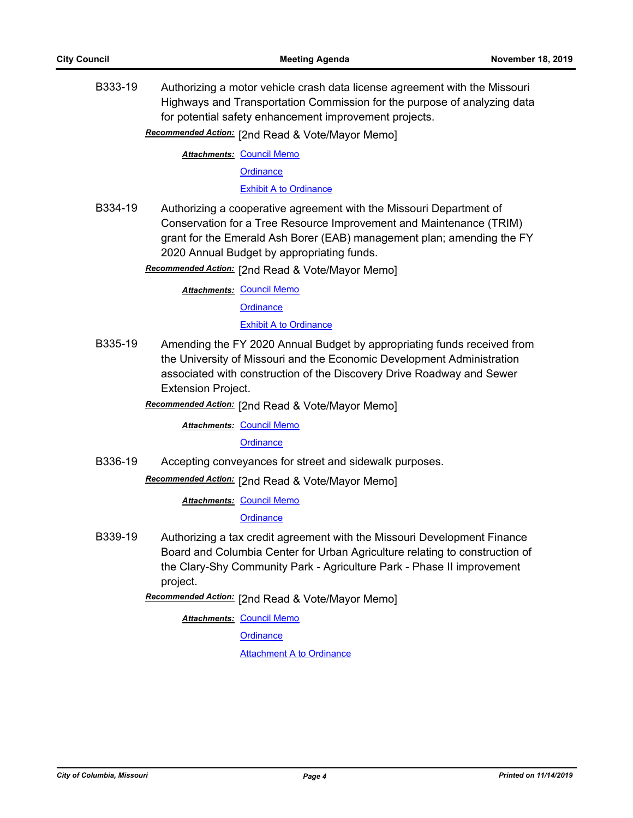B333-19 Authorizing a motor vehicle crash data license agreement with the Missouri Highways and Transportation Commission for the purpose of analyzing data for potential safety enhancement improvement projects.

Recommended Action: [2nd Read & Vote/Mayor Memo]

**Attachments: [Council Memo](http://gocolumbiamo.legistar.com/gateway.aspx?M=F&ID=31c4bda5-302c-4436-9637-998258b616bf.docx)** 

**[Ordinance](http://gocolumbiamo.legistar.com/gateway.aspx?M=F&ID=3e850fbc-e3e7-4f27-be07-3f438171c0f2.doc)** 

[Exhibit A to Ordinance](http://gocolumbiamo.legistar.com/gateway.aspx?M=F&ID=fd81d030-c9e5-41c9-8c6c-86a6ef1920be.pdf)

B334-19 Authorizing a cooperative agreement with the Missouri Department of Conservation for a Tree Resource Improvement and Maintenance (TRIM) grant for the Emerald Ash Borer (EAB) management plan; amending the FY 2020 Annual Budget by appropriating funds.

**Recommended Action:** [2nd Read & Vote/Mayor Memo]

**Attachments: [Council Memo](http://gocolumbiamo.legistar.com/gateway.aspx?M=F&ID=e1c09d2d-6a54-489d-8e97-a68a9d827dfd.docx) [Ordinance](http://gocolumbiamo.legistar.com/gateway.aspx?M=F&ID=9519e596-0d71-45ce-a7db-3cef4872c585.doc)** [Exhibit A to Ordinance](http://gocolumbiamo.legistar.com/gateway.aspx?M=F&ID=9ca1d195-0b04-4899-8eaf-060ec6e4e8d7.pdf)

B335-19 Amending the FY 2020 Annual Budget by appropriating funds received from the University of Missouri and the Economic Development Administration associated with construction of the Discovery Drive Roadway and Sewer Extension Project.

[2nd Read & Vote/Mayor Memo] *Recommended Action:*

**Attachments: [Council Memo](http://gocolumbiamo.legistar.com/gateway.aspx?M=F&ID=2563f383-009d-4cc7-8aff-3d9c9d3019d2.docx)** 

**[Ordinance](http://gocolumbiamo.legistar.com/gateway.aspx?M=F&ID=62bf5dfb-a98f-4a31-9c22-4e30b8622dc9.doc)** 

B336-19 Accepting conveyances for street and sidewalk purposes.

Recommended Action: [2nd Read & Vote/Mayor Memo]

**Attachments: [Council Memo](http://gocolumbiamo.legistar.com/gateway.aspx?M=F&ID=2ecd5084-c9ce-4e7e-8f6a-df2e84507ad6.docx)** 

**[Ordinance](http://gocolumbiamo.legistar.com/gateway.aspx?M=F&ID=f77558d7-5772-447b-8dc8-1c6fc9cf12da.doc)** 

B339-19 Authorizing a tax credit agreement with the Missouri Development Finance Board and Columbia Center for Urban Agriculture relating to construction of the Clary-Shy Community Park - Agriculture Park - Phase II improvement project.

**Recommended Action:** [2nd Read & Vote/Mayor Memo]

**Attachments: [Council Memo](http://gocolumbiamo.legistar.com/gateway.aspx?M=F&ID=fa1e7867-b1e2-4c31-90b4-bd398d391cd8.docx)** 

**[Ordinance](http://gocolumbiamo.legistar.com/gateway.aspx?M=F&ID=8980dc1d-d8c6-41b4-9b93-ab62aa2da7eb.doc)**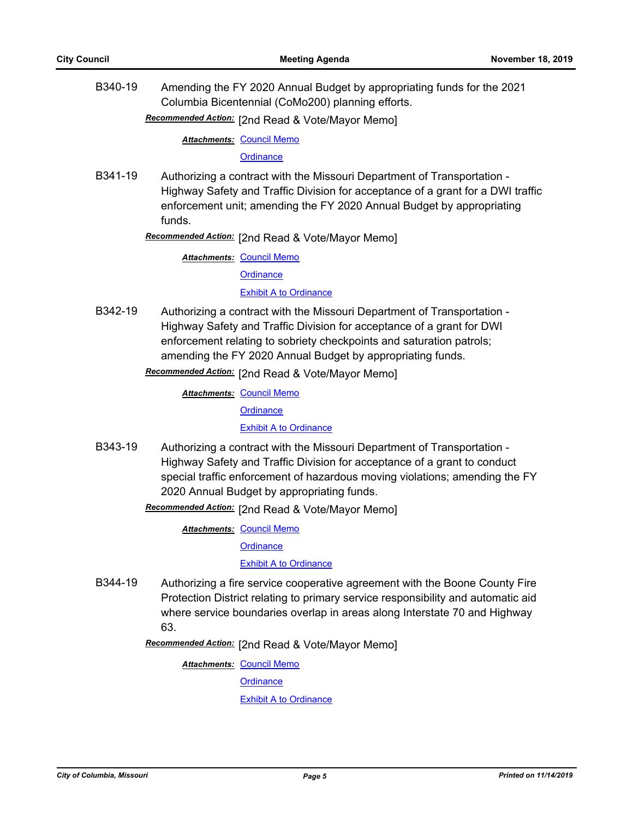B340-19 Amending the FY 2020 Annual Budget by appropriating funds for the 2021 Columbia Bicentennial (CoMo200) planning efforts.

Recommended Action: [2nd Read & Vote/Mayor Memo]

**Attachments: [Council Memo](http://gocolumbiamo.legistar.com/gateway.aspx?M=F&ID=e96b3277-55a2-4db8-a3ee-800d5e9d8e8f.docx)** 

**[Ordinance](http://gocolumbiamo.legistar.com/gateway.aspx?M=F&ID=c6e722a6-350d-4899-b113-61a5be36d8d9.doc)** 

- B341-19 Authorizing a contract with the Missouri Department of Transportation Highway Safety and Traffic Division for acceptance of a grant for a DWI traffic enforcement unit; amending the FY 2020 Annual Budget by appropriating funds.
	- **Recommended Action:** [2nd Read & Vote/Mayor Memo]

**Attachments: [Council Memo](http://gocolumbiamo.legistar.com/gateway.aspx?M=F&ID=9192a207-6979-44e7-b6d3-a3a038f02d02.docx)** 

**[Ordinance](http://gocolumbiamo.legistar.com/gateway.aspx?M=F&ID=c26bc9ab-78f9-48fa-a4ae-24354eacc0c3.doc)** 

[Exhibit A to Ordinance](http://gocolumbiamo.legistar.com/gateway.aspx?M=F&ID=47d65fbc-2c54-4102-b714-c3b326e68cfa.pdf)

B342-19 Authorizing a contract with the Missouri Department of Transportation - Highway Safety and Traffic Division for acceptance of a grant for DWI enforcement relating to sobriety checkpoints and saturation patrols; amending the FY 2020 Annual Budget by appropriating funds.

Recommended Action: [2nd Read & Vote/Mayor Memo]

**Attachments: [Council Memo](http://gocolumbiamo.legistar.com/gateway.aspx?M=F&ID=3c7e46b9-930f-4d38-98ed-f7db5223423f.docx) [Ordinance](http://gocolumbiamo.legistar.com/gateway.aspx?M=F&ID=69db449f-903f-41b5-989b-5aa9f81586d2.doc)** 

[Exhibit A to Ordinance](http://gocolumbiamo.legistar.com/gateway.aspx?M=F&ID=206af144-2c0b-40c5-b61d-75807caf8768.pdf)

B343-19 Authorizing a contract with the Missouri Department of Transportation - Highway Safety and Traffic Division for acceptance of a grant to conduct special traffic enforcement of hazardous moving violations; amending the FY 2020 Annual Budget by appropriating funds.

Recommended Action: [2nd Read & Vote/Mayor Memo]

**Attachments: [Council Memo](http://gocolumbiamo.legistar.com/gateway.aspx?M=F&ID=ed9faa20-2bda-4b40-9b0e-379b077b2edc.docx) [Ordinance](http://gocolumbiamo.legistar.com/gateway.aspx?M=F&ID=22fd292a-c749-4ba1-a2a0-7ef6e0945e8c.doc)** [Exhibit A to Ordinance](http://gocolumbiamo.legistar.com/gateway.aspx?M=F&ID=43f29359-ab06-40d4-8f2e-f902acaf2927.pdf)

B344-19 Authorizing a fire service cooperative agreement with the Boone County Fire Protection District relating to primary service responsibility and automatic aid where service boundaries overlap in areas along Interstate 70 and Highway 63.

Recommended Action: [2nd Read & Vote/Mayor Memo]

**Attachments: [Council Memo](http://gocolumbiamo.legistar.com/gateway.aspx?M=F&ID=5ac9733a-cb37-4e38-b079-b696392c886b.docx) [Ordinance](http://gocolumbiamo.legistar.com/gateway.aspx?M=F&ID=5f02e5c8-9169-485e-9e89-15ef437dd924.doc) [Exhibit A to Ordinance](http://gocolumbiamo.legistar.com/gateway.aspx?M=F&ID=583c066b-fc7f-4dfa-b451-b3aca502c1fe.pdf)**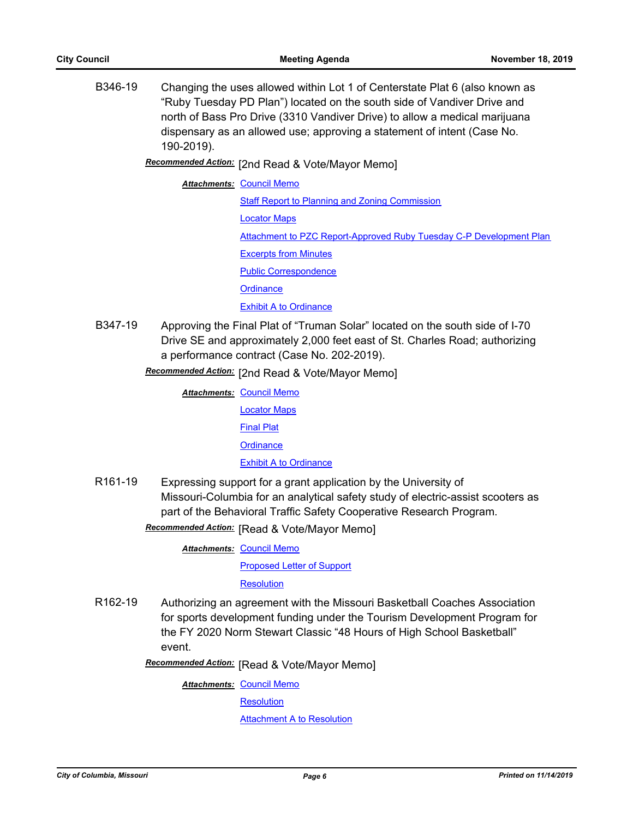B346-19 Changing the uses allowed within Lot 1 of Centerstate Plat 6 (also known as "Ruby Tuesday PD Plan") located on the south side of Vandiver Drive and north of Bass Pro Drive (3310 Vandiver Drive) to allow a medical marijuana dispensary as an allowed use; approving a statement of intent (Case No. 190-2019).

[2nd Read & Vote/Mayor Memo] *Recommended Action:*

**Attachments: [Council Memo](http://gocolumbiamo.legistar.com/gateway.aspx?M=F&ID=c09a463e-9d93-4643-bd65-ed8866b2db70.docx)** [Staff Report to Planning and Zoning Commission](http://gocolumbiamo.legistar.com/gateway.aspx?M=F&ID=783f533e-0d18-4a55-b047-54a6d58b94e0.docx) [Locator Maps](http://gocolumbiamo.legistar.com/gateway.aspx?M=F&ID=479d76be-622d-4e59-b396-3c052e23ca77.pdf) [Attachment to PZC Report-Approved Ruby Tuesday C-P Development Plan](http://gocolumbiamo.legistar.com/gateway.aspx?M=F&ID=971d06ca-c17c-48b7-b161-e1959ae51d81.pdf) [Excerpts from Minutes](http://gocolumbiamo.legistar.com/gateway.aspx?M=F&ID=1dd3aea9-cba3-4e2a-b05c-d86ac93f4ce5.docx) [Public Correspondence](http://gocolumbiamo.legistar.com/gateway.aspx?M=F&ID=241d71eb-a160-4112-aaab-252106a42dbb.pdf) **[Ordinance](http://gocolumbiamo.legistar.com/gateway.aspx?M=F&ID=d5f01107-d832-450f-bdd9-1a8c095cb8b0.doc) [Exhibit A to Ordinance](http://gocolumbiamo.legistar.com/gateway.aspx?M=F&ID=42f5d82a-9060-43c9-a45e-76fb3c5c0bda.pdf)** 

B347-19 Approving the Final Plat of "Truman Solar" located on the south side of I-70 Drive SE and approximately 2,000 feet east of St. Charles Road; authorizing a performance contract (Case No. 202-2019).

Recommended Action: [2nd Read & Vote/Mayor Memo]

| <b>Attachments: Council Memo</b> |
|----------------------------------|
| <b>Locator Maps</b>              |
| <b>Final Plat</b>                |
| Ordinance                        |
| <b>Exhibit A to Ordinance</b>    |
|                                  |

R161-19 Expressing support for a grant application by the University of Missouri-Columbia for an analytical safety study of electric-assist scooters as part of the Behavioral Traffic Safety Cooperative Research Program.

**Recommended Action:** [Read & Vote/Mayor Memo]

**Attachments: [Council Memo](http://gocolumbiamo.legistar.com/gateway.aspx?M=F&ID=7522fcd1-7392-481d-8a43-e972dbc7e0d4.docx)** 

[Proposed Letter of Support](http://gocolumbiamo.legistar.com/gateway.aspx?M=F&ID=70d4ce6a-c9ac-4165-886e-03e3c2461014.docx)

**[Resolution](http://gocolumbiamo.legistar.com/gateway.aspx?M=F&ID=84db3434-b3b6-4fb0-8053-aea79d7e5d29.doc)** 

R162-19 Authorizing an agreement with the Missouri Basketball Coaches Association for sports development funding under the Tourism Development Program for the FY 2020 Norm Stewart Classic "48 Hours of High School Basketball" event.

**Recommended Action:** [Read & Vote/Mayor Memo]

**Attachments: [Council Memo](http://gocolumbiamo.legistar.com/gateway.aspx?M=F&ID=20f67673-031f-4b20-af22-ec5ddbd87fb9.docx)** 

**[Resolution](http://gocolumbiamo.legistar.com/gateway.aspx?M=F&ID=7ac4f6bb-1dca-4cc1-a1ae-44a83470a6e4.doc)** 

[Attachment A to Resolution](http://gocolumbiamo.legistar.com/gateway.aspx?M=F&ID=c742129c-77f7-43a8-8f13-11747bc28efc.pdf)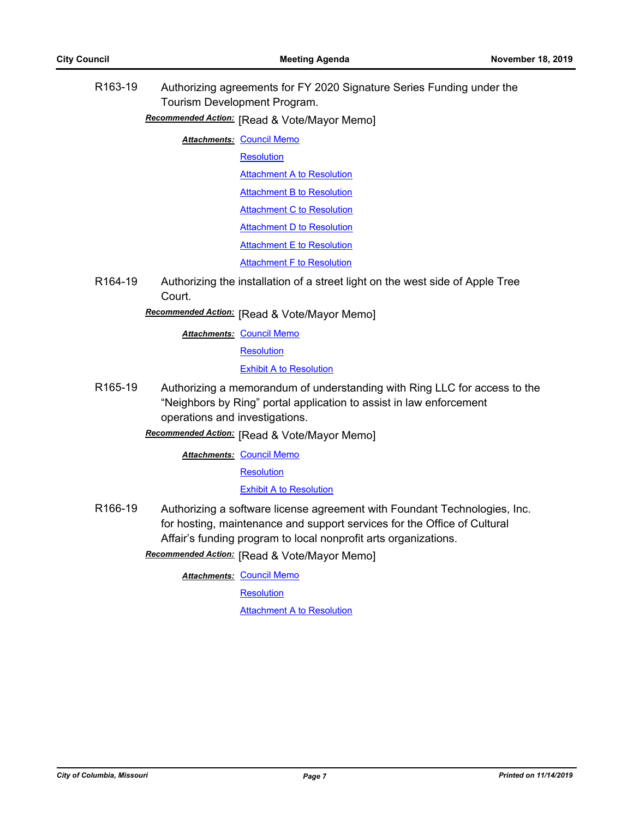R163-19 Authorizing agreements for FY 2020 Signature Series Funding under the Tourism Development Program.

**Recommended Action:** [Read & Vote/Mayor Memo]

**Attachments: [Council Memo](http://gocolumbiamo.legistar.com/gateway.aspx?M=F&ID=76c15bd1-6ab3-4e44-b548-d3fd9872127b.docx)** 

**[Resolution](http://gocolumbiamo.legistar.com/gateway.aspx?M=F&ID=72baf753-aa4d-4816-8059-3270c0bd47eb.doc)** 

**[Attachment A to Resolution](http://gocolumbiamo.legistar.com/gateway.aspx?M=F&ID=3116d832-9cf3-42d3-b128-c0347b0d9b3b.pdf)** 

**[Attachment B to Resolution](http://gocolumbiamo.legistar.com/gateway.aspx?M=F&ID=96fd435c-2bc5-4824-b9e8-ee4cbcd9f91e.pdf)** 

[Attachment C to Resolution](http://gocolumbiamo.legistar.com/gateway.aspx?M=F&ID=8d170b0d-315f-48e3-bc21-1408dda1d376.pdf)

**[Attachment D to Resolution](http://gocolumbiamo.legistar.com/gateway.aspx?M=F&ID=59f3a09c-886f-4218-8bd2-af4a3c49ef0e.pdf)** 

**[Attachment E to Resolution](http://gocolumbiamo.legistar.com/gateway.aspx?M=F&ID=0ee73058-9c34-4f6e-a68a-58243f82de59.pdf)** 

[Attachment F to Resolution](http://gocolumbiamo.legistar.com/gateway.aspx?M=F&ID=4aa6f755-2767-4022-84f2-921b9e8241af.pdf)

R164-19 Authorizing the installation of a street light on the west side of Apple Tree Court.

**Recommended Action:** [Read & Vote/Mayor Memo]

**Attachments: [Council Memo](http://gocolumbiamo.legistar.com/gateway.aspx?M=F&ID=b7dfb4ff-b2ab-466b-9355-7f8325012cb0.docx)** 

**[Resolution](http://gocolumbiamo.legistar.com/gateway.aspx?M=F&ID=04f4b19e-ec79-41fc-b11f-caee6202024e.doc)** 

[Exhibit A to Resolution](http://gocolumbiamo.legistar.com/gateway.aspx?M=F&ID=33dc841d-8db8-4256-a689-12f15df075a3.pdf)

R165-19 Authorizing a memorandum of understanding with Ring LLC for access to the "Neighbors by Ring" portal application to assist in law enforcement operations and investigations.

**Recommended Action:** [Read & Vote/Mayor Memo]

**Attachments: [Council Memo](http://gocolumbiamo.legistar.com/gateway.aspx?M=F&ID=bc57a943-0d5c-477e-a8e7-3b82095e215c.docx)** 

**[Resolution](http://gocolumbiamo.legistar.com/gateway.aspx?M=F&ID=f02638d1-7c1b-40fa-b6ff-8ac53063fed8.doc)** 

[Exhibit A to Resolution](http://gocolumbiamo.legistar.com/gateway.aspx?M=F&ID=f0c05735-f586-4ba5-85a0-e8c32f71e2b7.pdf)

R166-19 Authorizing a software license agreement with Foundant Technologies, Inc. for hosting, maintenance and support services for the Office of Cultural Affair's funding program to local nonprofit arts organizations.

**Recommended Action:** [Read & Vote/Mayor Memo]

**Attachments: [Council Memo](http://gocolumbiamo.legistar.com/gateway.aspx?M=F&ID=6bec3a1d-4a1d-4a03-a104-fa23256b0caa.docx)** 

**[Resolution](http://gocolumbiamo.legistar.com/gateway.aspx?M=F&ID=a99ac796-eb58-409d-9ed2-0a575f6d6654.doc)** 

[Attachment A to Resolution](http://gocolumbiamo.legistar.com/gateway.aspx?M=F&ID=19a60a0b-2147-47c5-b4af-d433bba27b39.pdf)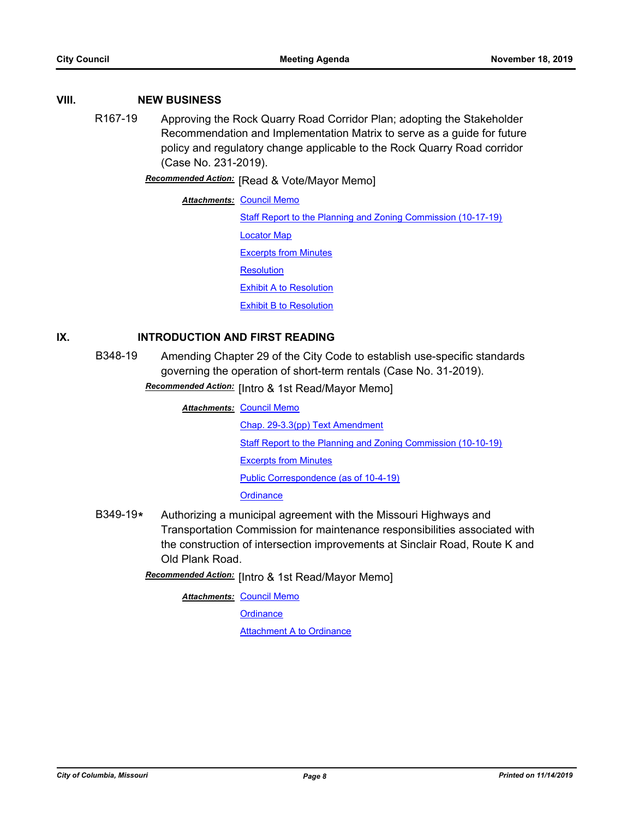# **VIII. NEW BUSINESS**

R167-19 Approving the Rock Quarry Road Corridor Plan; adopting the Stakeholder Recommendation and Implementation Matrix to serve as a guide for future policy and regulatory change applicable to the Rock Quarry Road corridor (Case No. 231-2019).

**Recommended Action:** [Read & Vote/Mayor Memo]

**Attachments: [Council Memo](http://gocolumbiamo.legistar.com/gateway.aspx?M=F&ID=7a4b8d54-4ccf-4e91-9876-e4bcd4a693a4.docx)** [Staff Report to the Planning and Zoning Commission \(10-17-19\)](http://gocolumbiamo.legistar.com/gateway.aspx?M=F&ID=31b84948-13b5-4d60-9e40-a01ead0cf011.docx) [Locator Map](http://gocolumbiamo.legistar.com/gateway.aspx?M=F&ID=ba5f32c6-afc6-4700-b0b6-a7a517baffdf.docx) [Excerpts from Minutes](http://gocolumbiamo.legistar.com/gateway.aspx?M=F&ID=d94e345d-49be-4d65-8451-8a0828247736.docx) **[Resolution](http://gocolumbiamo.legistar.com/gateway.aspx?M=F&ID=3520911c-276c-4c85-9fa8-21e447b0a9f6.doc)** [Exhibit A to Resolution](http://gocolumbiamo.legistar.com/gateway.aspx?M=F&ID=9712d705-15fd-46dd-9e55-515c9f0ddc06.pdf) [Exhibit B to Resolution](http://gocolumbiamo.legistar.com/gateway.aspx?M=F&ID=ecb9b66a-bfd9-44e2-990f-c56aa2a0102e.pdf)

# **IX. INTRODUCTION AND FIRST READING**

B348-19 Amending Chapter 29 of the City Code to establish use-specific standards governing the operation of short-term rentals (Case No. 31-2019).

Recommended Action: [Intro & 1st Read/Mayor Memo]

- **Attachments: [Council Memo](http://gocolumbiamo.legistar.com/gateway.aspx?M=F&ID=0b07c885-95f9-4ed5-9824-cf5f7841d4ee.docx)** [Chap. 29-3.3\(pp\) Text Amendment](http://gocolumbiamo.legistar.com/gateway.aspx?M=F&ID=877a6665-a6ed-477a-86ba-3d4cddd36f76.pdf) [Staff Report to the Planning and Zoning Commission \(10-10-19\)](http://gocolumbiamo.legistar.com/gateway.aspx?M=F&ID=5f717cc8-5b0c-4fac-9653-c6d9ad0072f9.docx) [Excerpts from Minutes](http://gocolumbiamo.legistar.com/gateway.aspx?M=F&ID=154747de-fb34-473d-9c50-6cb643fbaebf.docx) [Public Correspondence \(as of 10-4-19\)](http://gocolumbiamo.legistar.com/gateway.aspx?M=F&ID=89cfd37f-a6b4-4ab5-a2fd-349cb1ad3575.pdf) **[Ordinance](http://gocolumbiamo.legistar.com/gateway.aspx?M=F&ID=b11c31d6-dcb3-42ed-b8a0-1500fb198288.doc)**
- B349-19**\*** Authorizing a municipal agreement with the Missouri Highways and Transportation Commission for maintenance responsibilities associated with the construction of intersection improvements at Sinclair Road, Route K and Old Plank Road.

**Recommended Action:** [Intro & 1st Read/Mayor Memo]

**Attachments: [Council Memo](http://gocolumbiamo.legistar.com/gateway.aspx?M=F&ID=c968ec46-39f8-41b8-917d-7dd68d24cdb0.docx)** 

**[Ordinance](http://gocolumbiamo.legistar.com/gateway.aspx?M=F&ID=b014c179-d86a-4d69-ae97-a8651a021529.doc)**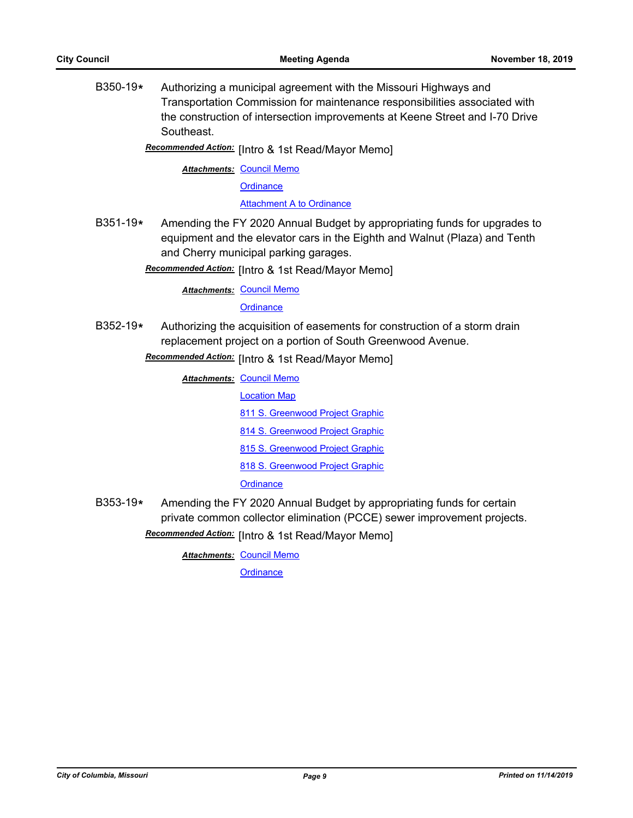B350-19**\*** Authorizing a municipal agreement with the Missouri Highways and Transportation Commission for maintenance responsibilities associated with the construction of intersection improvements at Keene Street and I-70 Drive Southeast.

Recommended Action: [Intro & 1st Read/Mayor Memo]

**Attachments: [Council Memo](http://gocolumbiamo.legistar.com/gateway.aspx?M=F&ID=50284367-0658-499f-a542-4ea0c4320419.docx)** 

**[Ordinance](http://gocolumbiamo.legistar.com/gateway.aspx?M=F&ID=af3e9dda-5389-4a28-8d2e-f38dec0601af.doc)** 

[Attachment A to Ordinance](http://gocolumbiamo.legistar.com/gateway.aspx?M=F&ID=574fd078-d17c-4d7f-b5a7-d39b1e9ff6f6.pdf)

B351-19**\*** Amending the FY 2020 Annual Budget by appropriating funds for upgrades to equipment and the elevator cars in the Eighth and Walnut (Plaza) and Tenth and Cherry municipal parking garages.

Recommended Action: [Intro & 1st Read/Mayor Memo]

**Attachments: [Council Memo](http://gocolumbiamo.legistar.com/gateway.aspx?M=F&ID=db63129b-fb6d-47a1-871b-a49850d0d0ef.docx)** 

**[Ordinance](http://gocolumbiamo.legistar.com/gateway.aspx?M=F&ID=4135fcbe-099e-4ba4-a703-e4497bc5869a.doc)** 

B352-19**\*** Authorizing the acquisition of easements for construction of a storm drain replacement project on a portion of South Greenwood Avenue.

**Recommended Action:** [Intro & 1st Read/Mayor Memo]

**Attachments: [Council Memo](http://gocolumbiamo.legistar.com/gateway.aspx?M=F&ID=1afb5575-dade-44bb-93cf-9c4a0fe851d4.docx)** [Location Map](http://gocolumbiamo.legistar.com/gateway.aspx?M=F&ID=71786d30-f064-4a5f-a9af-a785579ae2a1.pdf)

[811 S. Greenwood Project Graphic](http://gocolumbiamo.legistar.com/gateway.aspx?M=F&ID=0f5598bd-8c6e-47e2-a338-9dcffd17b40a.pdf)

[814 S. Greenwood Project Graphic](http://gocolumbiamo.legistar.com/gateway.aspx?M=F&ID=4acff93b-064c-4211-acb9-de7dcb910e10.pdf)

[815 S. Greenwood Project Graphic](http://gocolumbiamo.legistar.com/gateway.aspx?M=F&ID=2ca65909-ab53-4534-a686-f06e2776e70f.pdf)

[818 S. Greenwood Project Graphic](http://gocolumbiamo.legistar.com/gateway.aspx?M=F&ID=21c0802a-c021-4f37-afce-d14e41423f5d.pdf)

**[Ordinance](http://gocolumbiamo.legistar.com/gateway.aspx?M=F&ID=50e99322-2902-4fa7-bd48-27db0d530a27.doc)** 

B353-19**\*** Amending the FY 2020 Annual Budget by appropriating funds for certain private common collector elimination (PCCE) sewer improvement projects. **Recommended Action:** [Intro & 1st Read/Mayor Memo]

**Attachments: [Council Memo](http://gocolumbiamo.legistar.com/gateway.aspx?M=F&ID=def46734-c2b1-4ec5-be22-c069c4a0634a.docx)** 

**[Ordinance](http://gocolumbiamo.legistar.com/gateway.aspx?M=F&ID=fff9a482-4683-4175-a870-8735d507f3e0.doc)**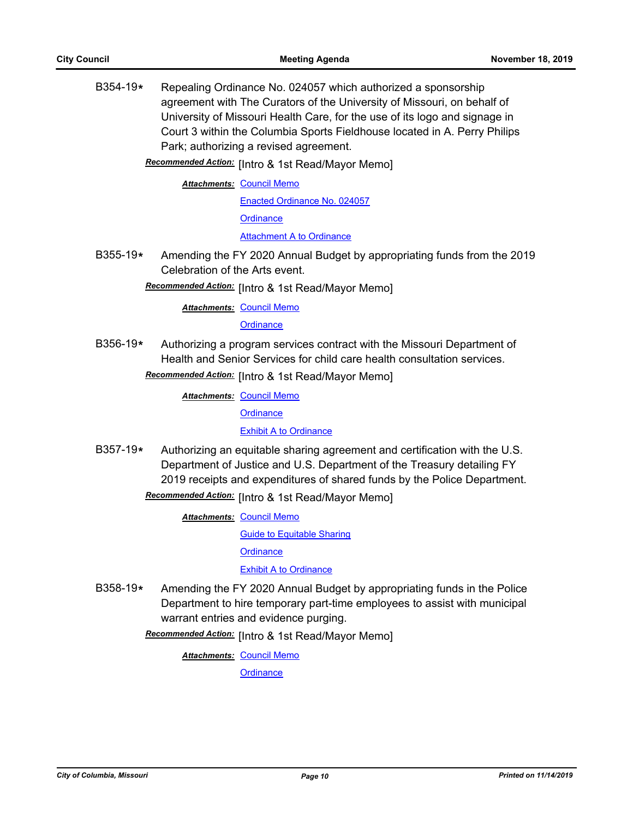B354-19**\*** Repealing Ordinance No. 024057 which authorized a sponsorship agreement with The Curators of the University of Missouri, on behalf of University of Missouri Health Care, for the use of its logo and signage in Court 3 within the Columbia Sports Fieldhouse located in A. Perry Philips Park; authorizing a revised agreement.

Recommended Action: [Intro & 1st Read/Mayor Memo]

**Attachments: [Council Memo](http://gocolumbiamo.legistar.com/gateway.aspx?M=F&ID=dcbbee43-6677-45c3-923b-ad4d9ec73f01.docx)** 

[Enacted Ordinance No. 024057](http://gocolumbiamo.legistar.com/gateway.aspx?M=F&ID=9d8a958e-67dd-4e37-b70d-aeb8cf008f53.pdf) **[Ordinance](http://gocolumbiamo.legistar.com/gateway.aspx?M=F&ID=ac98efe0-f4b5-43d4-97ee-832828c8e8c2.doc)** [Attachment A to Ordinance](http://gocolumbiamo.legistar.com/gateway.aspx?M=F&ID=ad414cc1-7dc4-4dae-bacd-b5cb3ec9a2f2.pdf)

- B355-19**\*** Amending the FY 2020 Annual Budget by appropriating funds from the 2019 Celebration of the Arts event.
	- Recommended Action: [Intro & 1st Read/Mayor Memo]

**Attachments: [Council Memo](http://gocolumbiamo.legistar.com/gateway.aspx?M=F&ID=64fdf0f8-2d52-4079-9c5f-9d68026ec88f.docx)** 

**[Ordinance](http://gocolumbiamo.legistar.com/gateway.aspx?M=F&ID=32e3e3ef-9606-44ed-b51d-b84648465caf.doc)** 

B356-19**\*** Authorizing a program services contract with the Missouri Department of Health and Senior Services for child care health consultation services.

Recommended Action: [Intro & 1st Read/Mayor Memo]

**Attachments: [Council Memo](http://gocolumbiamo.legistar.com/gateway.aspx?M=F&ID=6da3c05e-fb19-4e76-b861-4afd579b1dae.docx)** 

**[Ordinance](http://gocolumbiamo.legistar.com/gateway.aspx?M=F&ID=15ab162b-dc21-4a45-98a7-fc2b4d3f0727.doc)** 

## [Exhibit A to Ordinance](http://gocolumbiamo.legistar.com/gateway.aspx?M=F&ID=8909e175-74ea-4b90-b077-53380eec3161.pdf)

B357-19**\*** Authorizing an equitable sharing agreement and certification with the U.S. Department of Justice and U.S. Department of the Treasury detailing FY 2019 receipts and expenditures of shared funds by the Police Department. **Recommended Action:** [Intro & 1st Read/Mayor Memo]

**Attachments: [Council Memo](http://gocolumbiamo.legistar.com/gateway.aspx?M=F&ID=3e7ba4fc-d3cc-4cbe-955d-629be0edc686.docx)** 

[Guide to Equitable Sharing](http://gocolumbiamo.legistar.com/gateway.aspx?M=F&ID=5771fea9-b951-4c14-9053-e43e6a65c998.pdf)

**[Ordinance](http://gocolumbiamo.legistar.com/gateway.aspx?M=F&ID=161eb44a-6d97-4518-a6b9-324c346549b8.doc)** 

[Exhibit A to Ordinance](http://gocolumbiamo.legistar.com/gateway.aspx?M=F&ID=cdfecb5f-15e6-4ace-a3c8-cb161e3ce652.pdf)

B358-19**\*** Amending the FY 2020 Annual Budget by appropriating funds in the Police Department to hire temporary part-time employees to assist with municipal warrant entries and evidence purging.

Recommended Action: [Intro & 1st Read/Mayor Memo]

**Attachments: [Council Memo](http://gocolumbiamo.legistar.com/gateway.aspx?M=F&ID=1b15d4d5-51d4-4644-bb8d-287ef789f37a.docx)** 

**[Ordinance](http://gocolumbiamo.legistar.com/gateway.aspx?M=F&ID=5f817854-a1b1-41d0-b81d-66ef5523cb7b.doc)**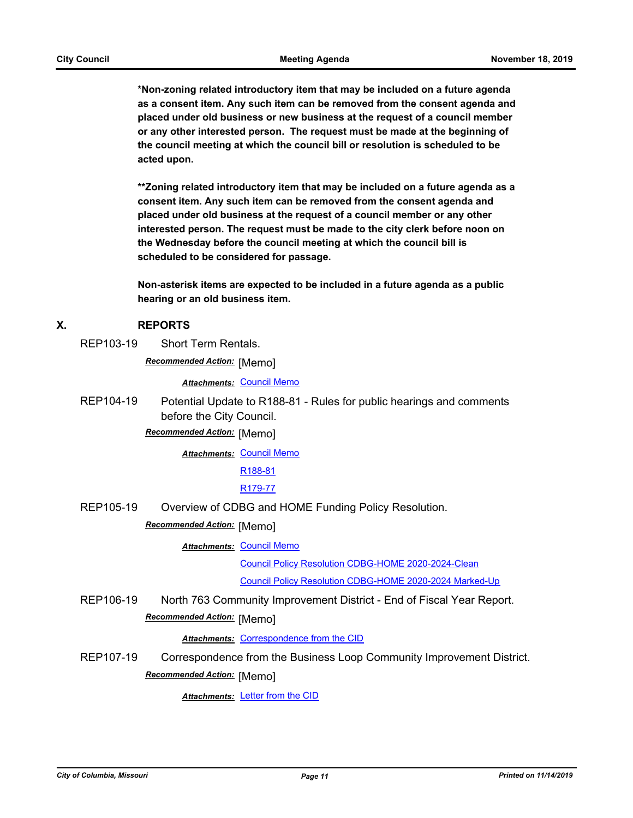**\*Non-zoning related introductory item that may be included on a future agenda as a consent item. Any such item can be removed from the consent agenda and placed under old business or new business at the request of a council member or any other interested person. The request must be made at the beginning of the council meeting at which the council bill or resolution is scheduled to be acted upon.** 

**\*\*Zoning related introductory item that may be included on a future agenda as a consent item. Any such item can be removed from the consent agenda and placed under old business at the request of a council member or any other interested person. The request must be made to the city clerk before noon on the Wednesday before the council meeting at which the council bill is scheduled to be considered for passage.**

**Non-asterisk items are expected to be included in a future agenda as a public hearing or an old business item.**

## **X. REPORTS**

REP103-19 Short Term Rentals.

**Recommended Action: [Memo]** 

*Attachments:* [Council Memo](http://gocolumbiamo.legistar.com/gateway.aspx?M=F&ID=da237dc6-8205-4a6a-892b-5a8fb1a21253.docx)

REP104-19 Potential Update to R188-81 - Rules for public hearings and comments before the City Council.

**Recommended Action: [Memo]** 

**Attachments: [Council Memo](http://gocolumbiamo.legistar.com/gateway.aspx?M=F&ID=f4262e91-0899-42ac-94b6-5f6554addb94.docx)** 

[R188-81](http://gocolumbiamo.legistar.com/gateway.aspx?M=F&ID=5feaf74e-8559-4655-b113-f6528fead78b.pdf)

[R179-77](http://gocolumbiamo.legistar.com/gateway.aspx?M=F&ID=8a0e60c5-f76a-458e-8e56-920137743c91.pdf)

REP105-19 Overview of CDBG and HOME Funding Policy Resolution.

**Recommended Action:** [Memo]

**Attachments: [Council Memo](http://gocolumbiamo.legistar.com/gateway.aspx?M=F&ID=4b4c8446-50d0-406a-8a78-d52212cb9334.docx)** 

[Council Policy Resolution CDBG-HOME 2020-2024-Clean](http://gocolumbiamo.legistar.com/gateway.aspx?M=F&ID=0d58d660-3611-4403-a089-bf6aafe4330c.docx)

[Council Policy Resolution CDBG-HOME 2020-2024 Marked-Up](http://gocolumbiamo.legistar.com/gateway.aspx?M=F&ID=544f6e8d-9cb6-4d7b-b74d-917cb2a216f2.pdf)

REP106-19 North 763 Community Improvement District - End of Fiscal Year Report. **Recommended Action: [Memo]** 

*Attachments:* [Correspondence from the CID](http://gocolumbiamo.legistar.com/gateway.aspx?M=F&ID=ed7e0662-a65d-4891-bfc8-2f783ba28f7e.pdf)

REP107-19 Correspondence from the Business Loop Community Improvement District. **Recommended Action: [Memo]** 

*Attachments:* [Letter from the CID](http://gocolumbiamo.legistar.com/gateway.aspx?M=F&ID=a6dc0845-d13f-4fba-8eb4-632afb5ad4db.pdf)